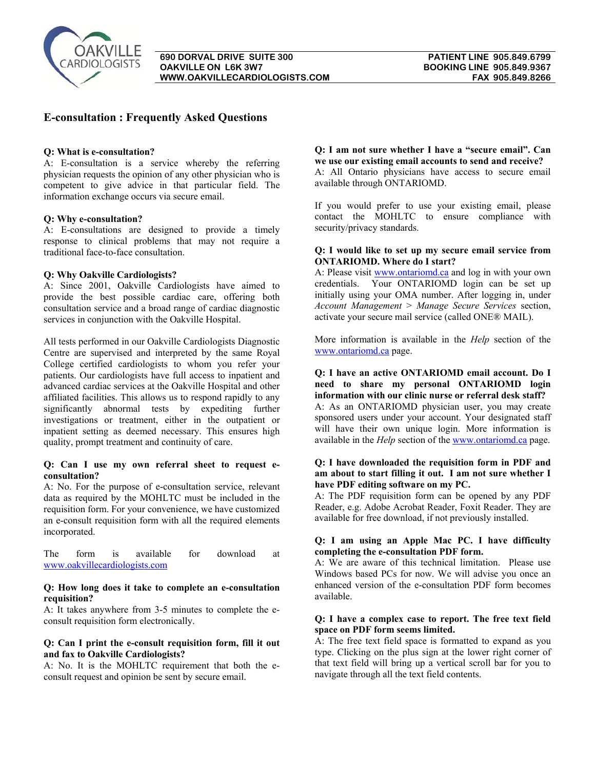

# **E-consultation : Frequently Asked Questions**

### **Q: What is e-consultation?**

A: E-consultation is a service whereby the referring physician requests the opinion of any other physician who is competent to give advice in that particular field. The information exchange occurs via secure email.

## **Q: Why e-consultation?**

A: E-consultations are designed to provide a timely response to clinical problems that may not require a traditional face-to-face consultation.

## **Q: Why Oakville Cardiologists?**

A: Since 2001, Oakville Cardiologists have aimed to provide the best possible cardiac care, offering both consultation service and a broad range of cardiac diagnostic services in conjunction with the Oakville Hospital.

All tests performed in our Oakville Cardiologists Diagnostic Centre are supervised and interpreted by the same Royal College certified cardiologists to whom you refer your patients. Our cardiologists have full access to inpatient and advanced cardiac services at the Oakville Hospital and other affiliated facilities. This allows us to respond rapidly to any significantly abnormal tests by expediting further investigations or treatment, either in the outpatient or inpatient setting as deemed necessary. This ensures high quality, prompt treatment and continuity of care.

### **Q: Can I use my own referral sheet to request econsultation?**

A: No. For the purpose of e-consultation service, relevant data as required by the MOHLTC must be included in the requisition form. For your convenience, we have customized an e-consult requisition form with all the required elements incorporated.

The form is available for download at [www.oakvillecardiologists.com](http://www.oakvillecardiologists.com/)

## **Q: How long does it take to complete an e-consultation requisition?**

A: It takes anywhere from 3-5 minutes to complete the econsult requisition form electronically.

#### **Q: Can I print the e-consult requisition form, fill it out and fax to Oakville Cardiologists?**

A: No. It is the MOHLTC requirement that both the econsult request and opinion be sent by secure email.

# **Q: I am not sure whether I have a "secure email". Can we use our existing email accounts to send and receive?**

A: All Ontario physicians have access to secure email available through ONTARIOMD.

If you would prefer to use your existing email, please contact the MOHLTC to ensure compliance with security/privacy standards.

### **Q: I would like to set up my secure email service from ONTARIOMD. Where do I start?**

A: Please visit [www.ontariomd.ca](http://www.ontariomd.ca/) and log in with your own credentials. Your ONTARIOMD login can be set up initially using your OMA number. After logging in, under *Account Management* > *Manage Secure Services* section, activate your secure mail service (called ONE® MAIL).

More information is available in the *Help* section of the [www.ontariomd.ca](http://www.ontariomd.ca/) page.

# **Q: I have an active ONTARIOMD email account. Do I need to share my personal ONTARIOMD login information with our clinic nurse or referral desk staff?**  A: As an ONTARIOMD physician user, you may create sponsored users under your account. Your designated staff will have their own unique login. More information is available in the *Help* section of the [www.ontariomd.ca](http://www.ontariomd.ca/) page.

#### **Q: I have downloaded the requisition form in PDF and am about to start filling it out. I am not sure whether I have PDF editing software on my PC.**

A: The PDF requisition form can be opened by any PDF Reader, e.g. Adobe Acrobat Reader, Foxit Reader. They are available for free download, if not previously installed.

## **Q: I am using an Apple Mac PC. I have difficulty completing the e-consultation PDF form.**

A: We are aware of this technical limitation. Please use Windows based PCs for now. We will advise you once an enhanced version of the e-consultation PDF form becomes available.

### **Q: I have a complex case to report. The free text field space on PDF form seems limited.**

A: The free text field space is formatted to expand as you type. Clicking on the plus sign at the lower right corner of that text field will bring up a vertical scroll bar for you to navigate through all the text field contents.